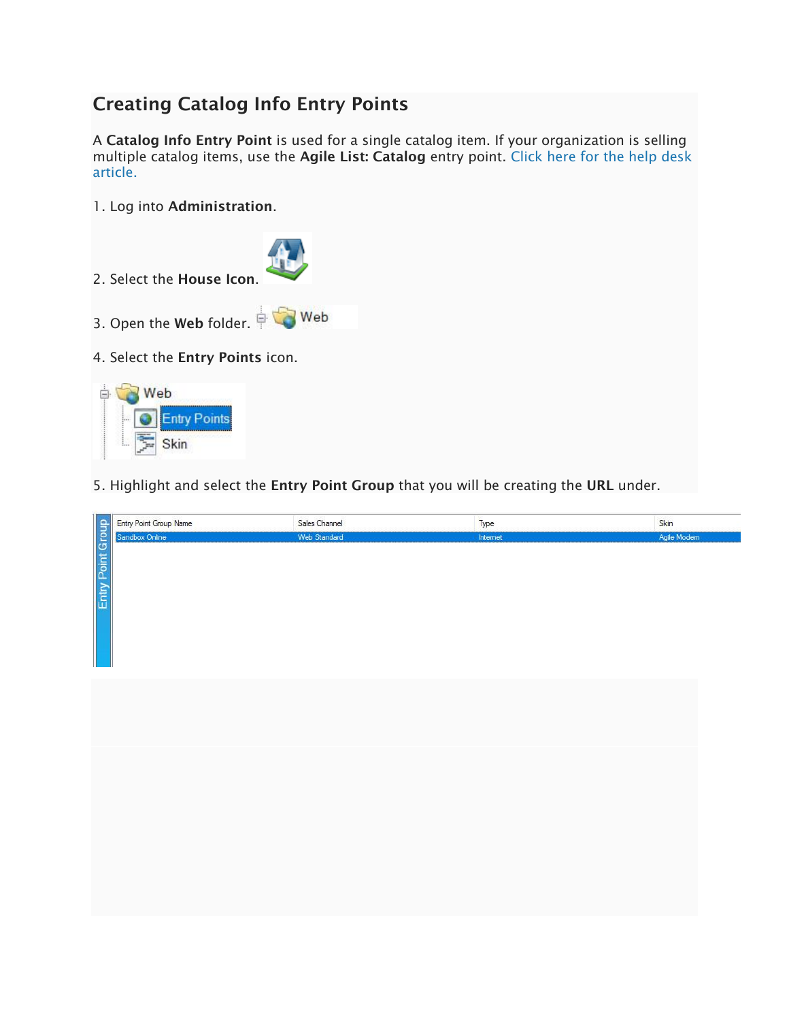## Creating Catalog Info Entry Points

A Catalog Info Entry Point is used for a single catalog item. If your organization is selling multiple catalog items, use the Agile List: Catalog entry point. [Click here for the help desk](https://support.agiletix.com/hc/en-us/articles/212527186-Create-an-Agile-List-Catalog-Entry-Point)  [article.](https://support.agiletix.com/hc/en-us/articles/212527186-Create-an-Agile-List-Catalog-Entry-Point)

1. Log into Administration.





5. Highlight and select the Entry Point Group that you will be creating the URL under.

| Entry Point Group<br>Entry Point Group Name | Sales Channel | Type     | Skin         |
|---------------------------------------------|---------------|----------|--------------|
| Sandbox Online                              | Web Standard  | Internet | Agile Modern |
|                                             |               |          |              |
|                                             |               |          |              |
|                                             |               |          |              |
|                                             |               |          |              |
|                                             |               |          |              |
|                                             |               |          |              |
|                                             |               |          |              |
|                                             |               |          |              |
|                                             |               |          |              |
|                                             |               |          |              |
|                                             |               |          |              |
|                                             |               |          |              |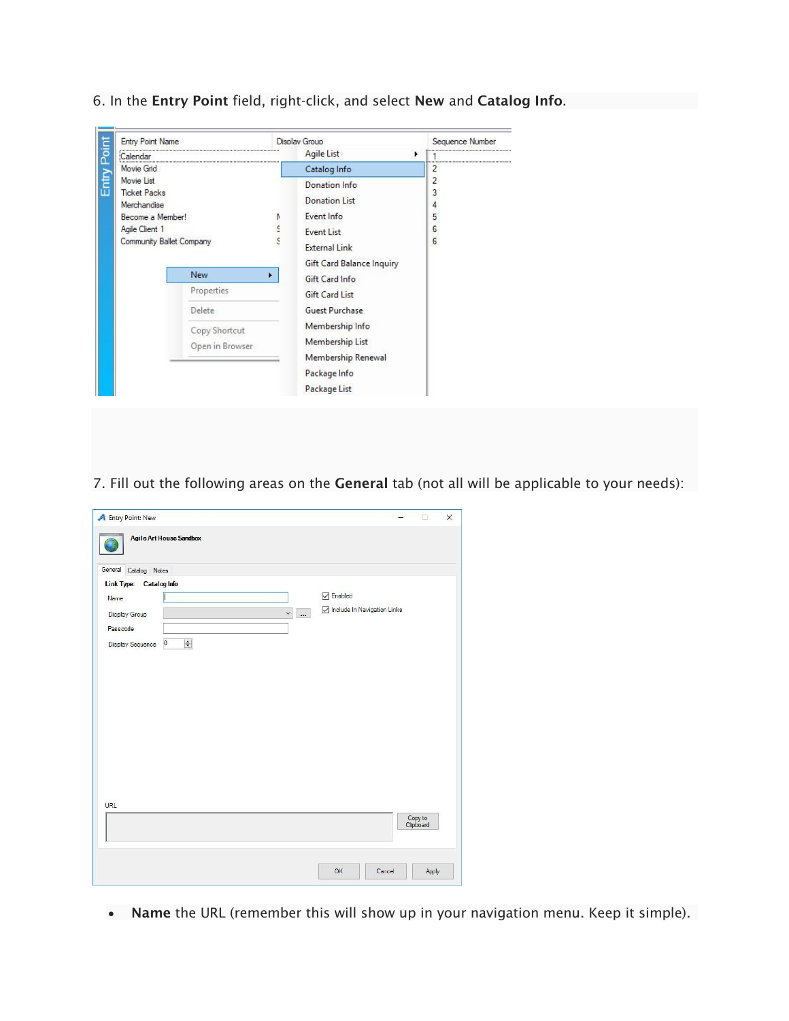

6. In the Entry Point field, right-click, and select New and Catalog Info.

7. Fill out the following areas on the General tab (not all will be applicable to your needs):

| A Entry Point: New      |                                             |                           |                             |  | п                    | $\times$ |
|-------------------------|---------------------------------------------|---------------------------|-----------------------------|--|----------------------|----------|
|                         | <b>Agile Art House Sandbox</b>              |                           |                             |  |                      |          |
| General Catalog Notes   |                                             |                           |                             |  |                      |          |
| Link Type: Catalog Info |                                             |                           |                             |  |                      |          |
| Name                    |                                             |                           | $\sqrt{}$ Enabled           |  |                      |          |
| Display Group           |                                             | $\checkmark$<br>$\ddotsc$ | Include In Navigation Links |  |                      |          |
| Passcode                |                                             |                           |                             |  |                      |          |
| <b>Display Sequence</b> | $\frac{\bullet}{\bullet}$<br>$\overline{0}$ |                           |                             |  |                      |          |
|                         |                                             |                           |                             |  |                      |          |
| URL                     |                                             |                           |                             |  | Copy to<br>Clipboard |          |

• Name the URL (remember this will show up in your navigation menu. Keep it simple).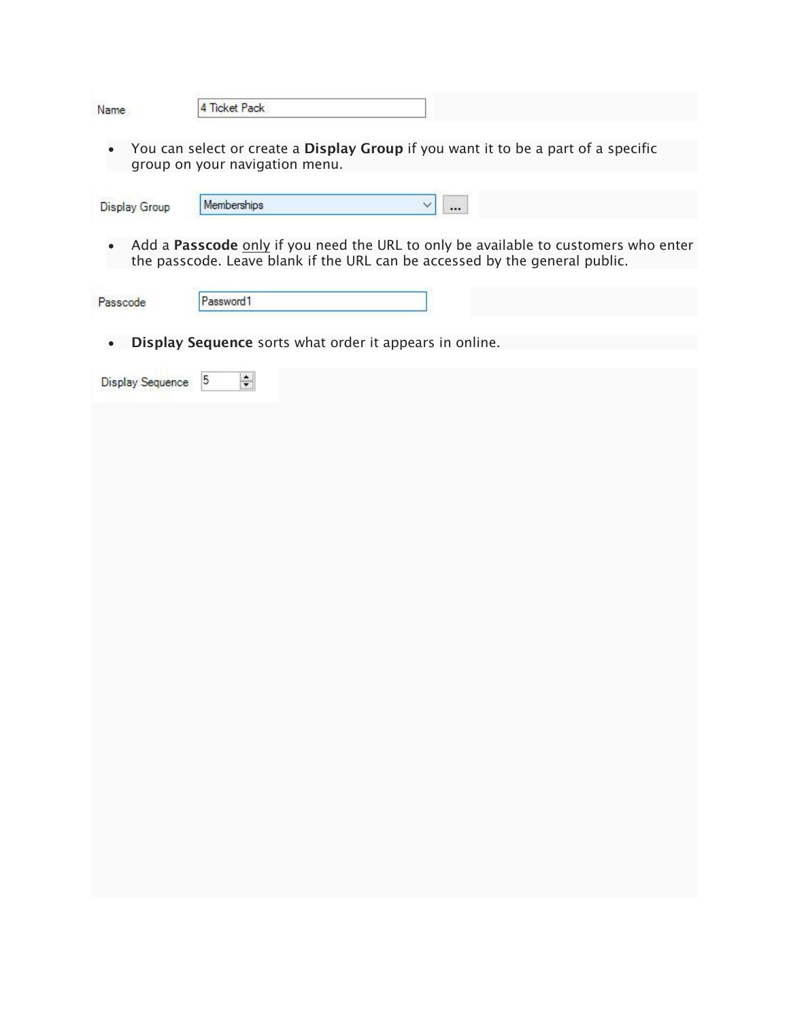|--|

• You can select or create a Display Group if you want it to be a part of a specific group on your navigation menu.

| Display Group | Memberships |  |  |
|---------------|-------------|--|--|
|               |             |  |  |

• Add a Passcode only if you need the URL to only be available to customers who enter the passcode. Leave blank if the URL can be accessed by the general public.

| Passcode | Password1 |  |
|----------|-----------|--|

• Display Sequence sorts what order it appears in online.

| Display Sequence 5<br><b>THE REAL PROPERTY</b> | $\left  \frac{1}{\sqrt{2}} \right $ |  |  |  |  |
|------------------------------------------------|-------------------------------------|--|--|--|--|
|                                                |                                     |  |  |  |  |
|                                                |                                     |  |  |  |  |
|                                                |                                     |  |  |  |  |
|                                                |                                     |  |  |  |  |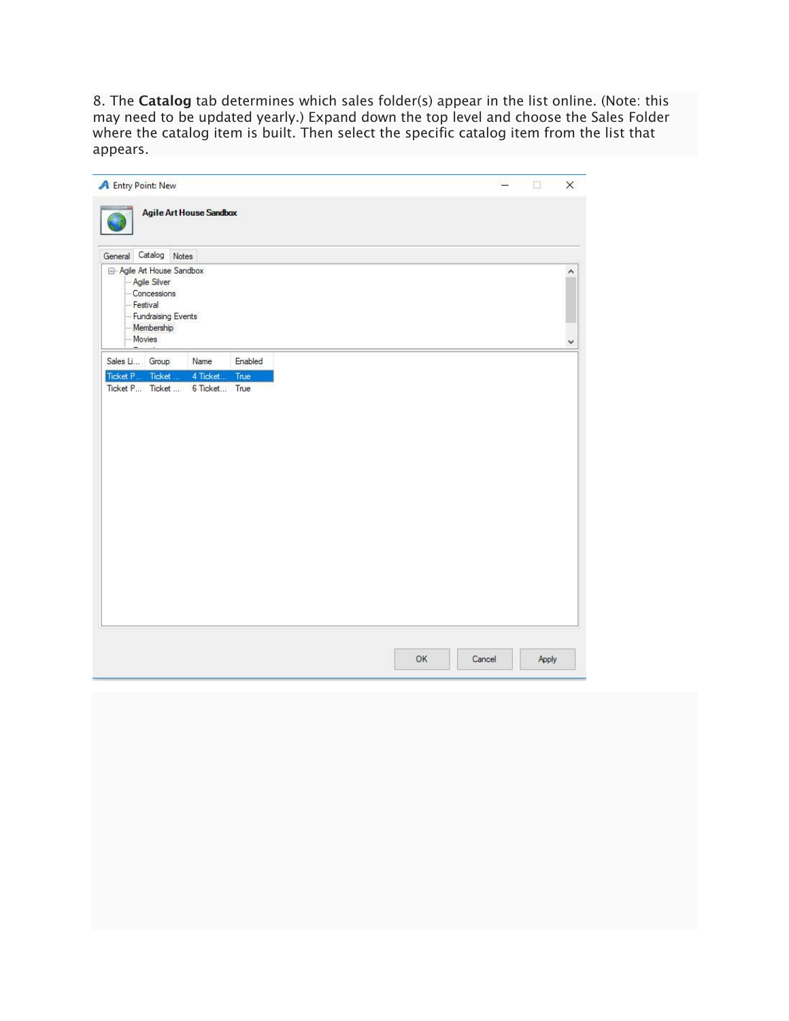8. The Catalog tab determines which sales folder(s) appear in the list online. (Note: this may need to be updated yearly.) Expand down the top level and choose the Sales Folder where the catalog item is built. Then select the specific catalog item from the list that appears.

|                 | <b>A</b> Entry Point: New                |                                |         |  |    |        |       |  |
|-----------------|------------------------------------------|--------------------------------|---------|--|----|--------|-------|--|
|                 |                                          | <b>Agile Art House Sandbox</b> |         |  |    |        |       |  |
|                 |                                          |                                |         |  |    |        |       |  |
| General         | Catalog Notes<br>Agile Art House Sandbox |                                |         |  |    |        |       |  |
|                 | - Agile Silver                           |                                |         |  |    |        |       |  |
| Festival        | Concessions                              |                                |         |  |    |        |       |  |
|                 | Fundraising Events                       |                                |         |  |    |        |       |  |
| Movies          | Membership                               |                                |         |  |    |        |       |  |
| Sales Li        | Group                                    | Name                           | Enabled |  |    |        |       |  |
| Ticket P        | Ticket                                   | 4 Ticket                       | True    |  |    |        |       |  |
| Ticket P Ticket |                                          | 6 Ticket True                  |         |  |    |        |       |  |
|                 |                                          |                                |         |  |    |        |       |  |
|                 |                                          |                                |         |  |    |        |       |  |
|                 |                                          |                                |         |  |    |        |       |  |
|                 |                                          |                                |         |  |    |        |       |  |
|                 |                                          |                                |         |  |    |        |       |  |
|                 |                                          |                                |         |  |    |        |       |  |
|                 |                                          |                                |         |  |    |        |       |  |
|                 |                                          |                                |         |  |    |        |       |  |
|                 |                                          |                                |         |  |    |        |       |  |
|                 |                                          |                                |         |  |    |        |       |  |
|                 |                                          |                                |         |  |    |        |       |  |
|                 |                                          |                                |         |  |    |        |       |  |
|                 |                                          |                                |         |  |    |        |       |  |
|                 |                                          |                                |         |  |    |        |       |  |
|                 |                                          |                                |         |  |    |        |       |  |
|                 |                                          |                                |         |  |    |        |       |  |
|                 |                                          |                                |         |  |    |        |       |  |
|                 |                                          |                                |         |  |    |        |       |  |
|                 |                                          |                                |         |  |    |        |       |  |
|                 |                                          |                                |         |  |    |        |       |  |
|                 |                                          |                                |         |  |    |        |       |  |
|                 |                                          |                                |         |  |    |        |       |  |
|                 |                                          |                                |         |  |    |        |       |  |
|                 |                                          |                                |         |  |    |        |       |  |
|                 |                                          |                                |         |  |    |        |       |  |
|                 |                                          |                                |         |  |    |        |       |  |
|                 |                                          |                                |         |  |    |        |       |  |
|                 |                                          |                                |         |  |    |        |       |  |
|                 |                                          |                                |         |  |    |        |       |  |
|                 |                                          |                                |         |  |    |        |       |  |
|                 |                                          |                                |         |  |    |        |       |  |
|                 |                                          |                                |         |  |    |        |       |  |
|                 |                                          |                                |         |  | OK | Cancel | Apply |  |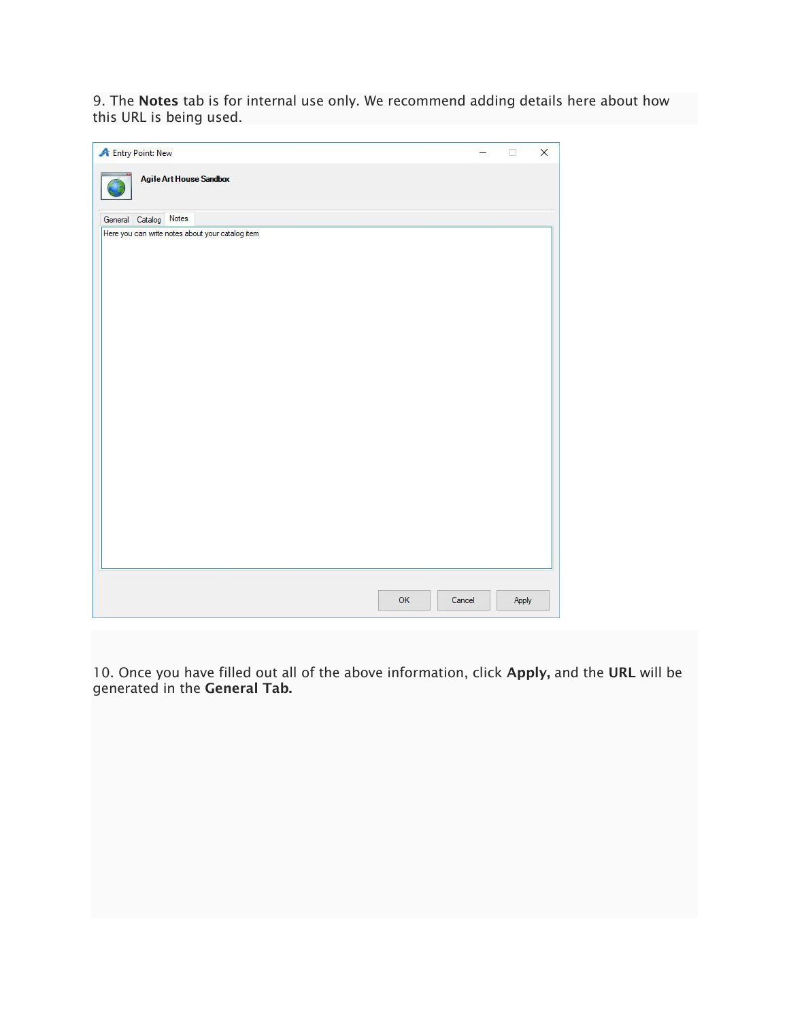9. The Notes tab is for internal use only. We recommend adding details here about how this URL is being used.

| <b>A</b> Entry Point: New                        |        | п     | $\times$ |
|--------------------------------------------------|--------|-------|----------|
| Agile Art House Sandbox                          |        |       |          |
| General Catalog Notes                            |        |       |          |
| Here you can write notes about your catalog item |        |       |          |
|                                                  |        |       |          |
|                                                  |        |       |          |
|                                                  |        |       |          |
|                                                  |        |       |          |
|                                                  |        |       |          |
|                                                  |        |       |          |
|                                                  |        |       |          |
|                                                  |        |       |          |
|                                                  |        |       |          |
|                                                  |        |       |          |
|                                                  |        |       |          |
|                                                  |        |       |          |
|                                                  |        |       |          |
|                                                  |        |       |          |
|                                                  |        |       |          |
|                                                  |        |       |          |
|                                                  |        |       |          |
|                                                  |        |       |          |
| OK                                               | Cancel | Apply |          |

10. Once you have filled out all of the above information, click Apply, and the URL will be generated in the **General Tab.**